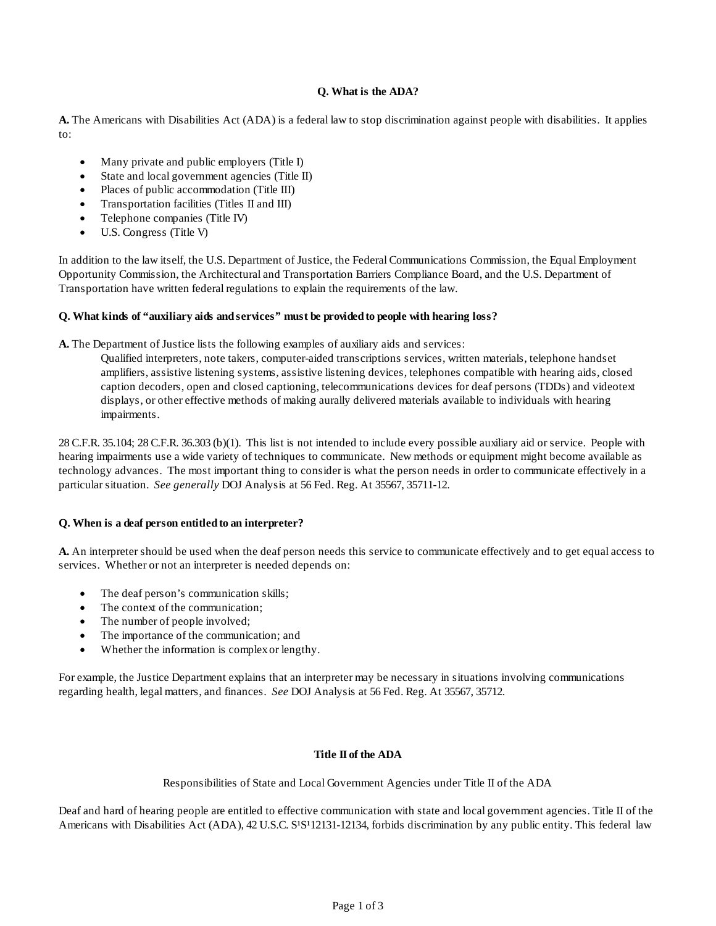# **Q. What is the ADA?**

**A.** The Americans with Disabilities Act (ADA) is a federal law to stop discrimination against people with disabilities. It applies  $t \Omega$ :

- Many private and public employers (Title I)
- State and local government agencies (Title II)
- Places of public accommodation (Title III)
- Transportation facilities (Titles II and III)
- Telephone companies (Title IV)
- U.S. Congress (Title V)

In addition to the law itself, the U.S. Department of Justice, the Federal Communications Commission, the Equal Employment Opportunity Commission, the Architectural and Transportation Barriers Compliance Board, and the U.S. Department of Transportation have written federal regulations to explain the requirements of the law.

## **Q. What kinds of "auxiliary aids and services" must be provided to people with hearing loss?**

**A.** The Department of Justice lists the following examples of auxiliary aids and services:

Qualified interpreters, note takers, computer-aided transcriptions services, written materials, telephone handset amplifiers, assistive listening systems, assistive listening devices, telephones compatible with hearing aids, closed caption decoders, open and closed captioning, telecommunications devices for deaf persons (TDDs) and videotext displays, or other effective methods of making aurally delivered materials available to individuals with hearing impairments.

28 C.F.R. 35.104; 28 C.F.R. 36.303 (b)(1). This list is not intended to include every possible auxiliary aid or service. People with hearing impairments use a wide variety of techniques to communicate. New methods or equipment might become available as technology advances. The most important thing to consider is what the person needs in order to communicate effectively in a particular situation. *See generally* DOJ Analysis at 56 Fed. Reg. At 35567, 35711-12.

## **Q. When is a deaf person entitled to an interpreter?**

**A.** An interpreter should be used when the deaf person needs this service to communicate effectively and to get equal access to services. Whether or not an interpreter is needed depends on:

- The deaf person's communication skills;
- The context of the communication;
- The number of people involved;
- The importance of the communication; and
- Whether the information is complex or lengthy.

For example, the Justice Department explains that an interpreter may be necessary in situations involving communications regarding health, legal matters, and finances. *See* DOJ Analysis at 56 Fed. Reg. At 35567, 35712.

## **Title II of the ADA**

Responsibilities of State and Local Government Agencies under Title II of the ADA

Deaf and hard of hearing people are entitled to effective communication with state and local government agencies. Title II of the Americans with Disabilities Act (ADA), 42 U.S.C. S<sup>1</sup>S<sup>1</sup>12131-12134, forbids discrimination by any public entity. This federal law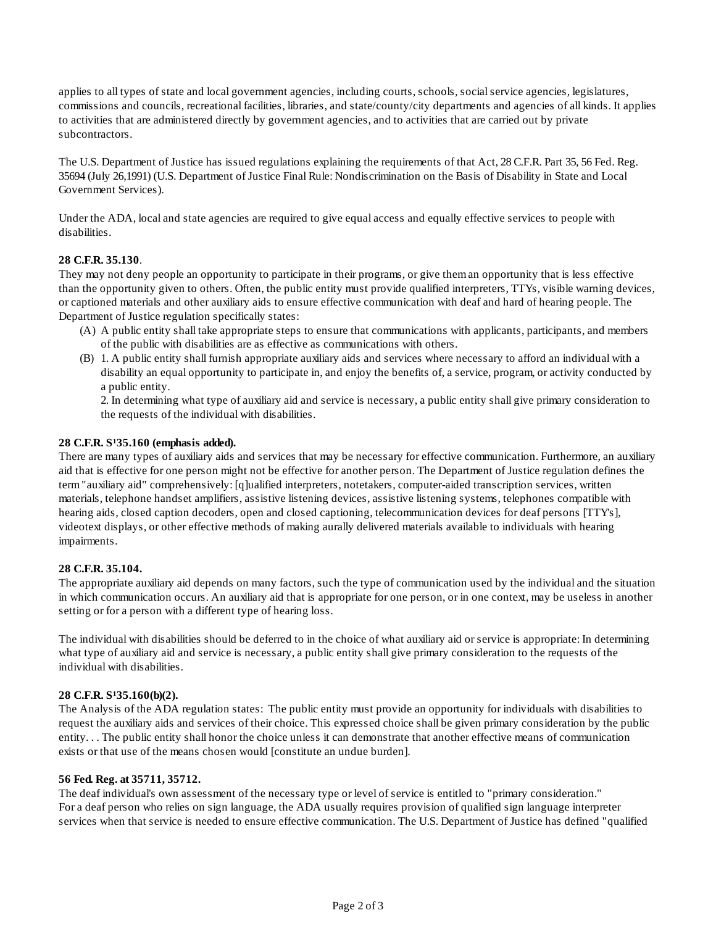applies to all types of state and local government agencies, including courts, schools, social service agencies, legislatures, commissions and councils, recreational facilities, libraries, and state/county/city departments and agencies of all kinds. It applies to activities that are administered directly by government agencies, and to activities that are carried out by private subcontractors.

The U.S. Department of Justice has issued regulations explaining the requirements of that Act, 28 C.F.R. Part 35, 56 Fed. Reg. 35694 (July 26,1991) (U.S. Department of Justice Final Rule: Nondiscrimination on the Basis of Disability in State and Local Government Services).

Under the ADA, local and state agencies are required to give equal access and equally effective services to people with disabilities.

## **28 C.F.R. 35.130**.

They may not deny people an opportunity to participate in their programs, or give them an opportunity that is less effective than the opportunity given to others. Often, the public entity must provide qualified interpreters, TTYs, visible warning devices, or captioned materials and other auxiliary aids to ensure effective communication with deaf and hard of hearing people. The Department of Justice regulation specifically states:

- (A) A public entity shall take appropriate steps to ensure that communications with applicants, participants, and members of the public with disabilities are as effective as communications with others.
- (B) 1. A public entity shall furnish appropriate auxiliary aids and services where necessary to afford an individual with a disability an equal opportunity to participate in, and enjoy the benefits of, a service, program, or activity conducted by a public entity.

2. In determining what type of auxiliary aid and service is necessary, a public entity shall give primary consideration to the requests of the individual with disabilities.

## 28 C.F.R. S<sup>1</sup>35.160 (emphasis added).

There are many types of auxiliary aids and services that may be necessary for effective communication. Furthermore, an auxiliary aid that is effective for one person might not be effective for another person. The Department of Justice regulation defines the term "auxiliary aid" comprehensively: [q]ualified interpreters, notetakers, computer-aided transcription services, written materials, telephone handset amplifiers, assistive listening devices, assistive listening systems, telephones compatible with hearing aids, closed caption decoders, open and closed captioning, telecommunication devices for deaf persons [TTY's], videotext displays, or other effective methods of making aurally delivered materials available to individuals with hearing impairments.

## **28 C.F.R. 35.104.**

The appropriate auxiliary aid depends on many factors, such the type of communication used by the individual and the situation in which communication occurs. An auxiliary aid that is appropriate for one person, or in one context, may be useless in another setting or for a person with a different type of hearing loss.

The individual with disabilities should be deferred to in the choice of what auxiliary aid or service is appropriate: In determining what type of auxiliary aid and service is necessary, a public entity shall give primary consideration to the requests of the individual with disabilities.

## 28 C.F.R. S<sup>1</sup>35.160(b)(2).

The Analysis of the ADA regulation states: The public entity must provide an opportunity for individuals with disabilities to request the auxiliary aids and services of their choice. This expressed choice shall be given primary consideration by the public entity. . . The public entity shall honor the choice unless it can demonstrate that another effective means of communication exists or that use of the means chosen would [constitute an undue burden].

#### **56 Fed. Reg. at 35711, 35712.**

The deaf individual's own assessment of the necessary type or level of service is entitled to "primary consideration." For a deaf person who relies on sign language, the ADA usually requires provision of qualified sign language interpreter services when that service is needed to ensure effective communication. The U.S. Department of Justice has defined "qualified